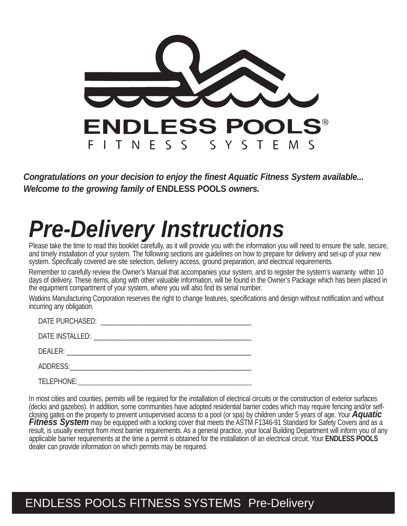

*Congratulations on your decision to enjoy the finest Aquatic Fitness System available... Welcome to the growing family of* **ENDLESS POOLS** *owners.*

# *Pre-Delivery Instructions*

Please take the time to read this booklet carefully, as it will provide you with the information you will need to ensure the safe, secure, and timely installation of your system. The following sections are guidelines on how to prepare for delivery and set-up of your new system. Specifically covered are site selection, delivery access, ground preparation, and electrical requirements.

Remember to carefully review the Owner's Manual that accompanies your system, and to register the system's warranty within 10 days of delivery. These items, along with other valuable information, will be found in the Owner's Package which has been placed in the equipment compartment of your system, where you will also find its serial number.

Watkins Manufacturing Corporation reserves the right to change features, specifications and design without notification and without incurring any obligation.

| DATE PURCHASED: |  |
|-----------------|--|
|                 |  |
| DATE INSTALLED: |  |
|                 |  |
| DEALER:         |  |
|                 |  |

ADDRESS: \_\_\_\_\_\_\_\_\_\_\_\_\_\_\_\_\_\_\_\_\_\_\_\_\_\_\_\_\_\_\_\_\_\_\_\_\_\_\_\_\_\_\_\_\_\_\_\_\_\_\_\_\_

TELEPHONE: \_\_\_\_\_\_\_\_\_\_\_\_\_\_\_\_\_\_\_\_\_\_\_\_\_\_\_\_\_\_\_\_\_\_\_\_\_\_\_\_\_\_\_\_\_\_\_\_\_\_\_\_\_\_\_\_\_\_\_\_\_\_\_\_\_\_\_\_

In most cities and counties, permits will be required for the installation of electrical circuits or the construction of exterior surfaces (decks and gazebos). In addition, some communities have adopted residential barrier codes which may require fencing and/or self-<br>closing gates on the property to prevent unsupervised access to a pool (or spa) by children u Fitness System may be equipped with a locking cover that meets the ASTM F1346-91 Standard for Safety Covers and as a result, is usually exempt from most barrier requirements. As a general practice, your local Building Department will inform you of any applicable barrier requirements at the time a permit is obtained for the installation of an electrical circuit. Your **ENDLESS POOLS** dealer can provide information on which permits may be required.

#### ENDLESS POOLS FITNESS SYSTEMS Pre-Delivery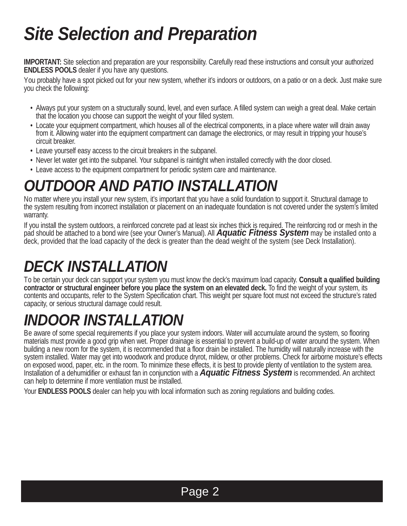# *Site Selection and Preparation*

**IMPORTANT:** Site selection and preparation are your responsibility. Carefully read these instructions and consult your authorized **ENDLESS POOLS** dealer if you have any questions.

You probably have a spot picked out for your new system, whether it's indoors or outdoors, on a patio or on a deck. Just make sure you check the following:

- Always put your system on a structurally sound, level, and even surface. A filled system can weigh a great deal. Make certain that the location you choose can support the weight of your filled system.
- Locate your equipment compartment, which houses all of the electrical components, in a place where water will drain away from it. Allowing water into the equipment compartment can damage the electronics, or may result in tripping your house's circuit breaker.
- Leave yourself easy access to the circuit breakers in the subpanel.
- Never let water get into the subpanel. Your subpanel is raintight when installed correctly with the door closed.
- Leave access to the equipment compartment for periodic system care and maintenance.

### *OUTDOOR AND PATIO INSTALLATION*

No matter where you install your new system, it's important that you have a solid foundation to support it. Structural damage to the system resulting from incorrect installation or placement on an inadequate foundation is not covered under the system's limited warranty.

If you install the system outdoors, a reinforced concrete pad at least six inches thick is required. The reinforcing rod or mesh in the pad should be attached to a bond wire (see your Owner's Manual). All *Aquatic Fitness System* may be installed onto a deck, provided that the load capacity of the deck is greater than the dead weight of the system (see Deck Installation).

### *DECK INSTALLATION*

To be certain your deck can support your system you must know the deck's maximum load capacity. **Consult a qualified building contractor or structural engineer before you place the system on an elevated deck.** To find the weight of your system, its contents and occupants, refer to the System Specification chart. This weight per square foot must not exceed the structure's rated capacity, or serious structural damage could result.

## *INDOOR INSTALLATION*

Be aware of some special requirements if you place your system indoors. Water will accumulate around the system, so flooring materials must provide a good grip when wet. Proper drainage is essential to prevent a build-up of water around the system. When building a new room for the system, it is recommended that a floor drain be installed. The humidity will naturally increase with the system installed. Water may get into woodwork and produce dryrot, mildew, or other problems. Check for airborne moisture's effects on exposed wood, paper, etc. in the room. To minimize these effects, it is best to provide plenty of ventilation to the system area. Installation of a dehumidifier or exhaust fan in conjunction with a *Aquatic Fitness System* is recommended. An architect can help to determine if more ventilation must be installed.

Your **ENDLESS POOLS** dealer can help you with local information such as zoning regulations and building codes.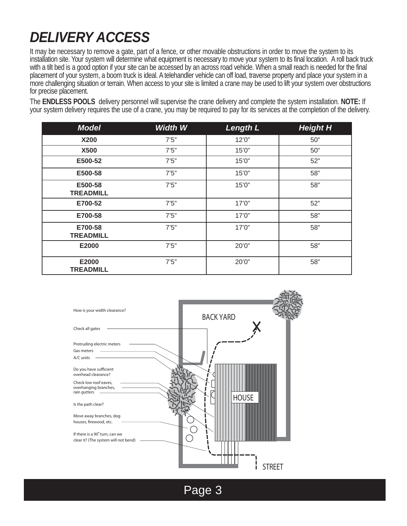#### *DELIVERY ACCESS*

It may be necessary to remove a gate, part of a fence, or other movable obstructions in order to move the system to its installation site. Your system will determine what equipment is necessary to move your system to its final location. A roll back truck with a tilt bed is a good option if your site can be accessed by an across road vehicle. When a small reach is needed for the final placement of your system, a boom truck is ideal. A telehandler vehicle can off load, traverse property and place your system in a more challenging situation or terrain. When access to your site is limited a crane may be used to lift your system over obstructions for precise placement.

The **ENDLESS POOLS** delivery personnel will supervise the crane delivery and complete the system installation. **NOTE:** If your system delivery requires the use of a crane, you may be required to pay for its services at the completion of the delivery.

| <b>Model</b>                | <b>Width W</b> | <b>Length L</b> | <b>Height H</b> |
|-----------------------------|----------------|-----------------|-----------------|
| <b>X200</b>                 | 7'5''          | 12'0''          | 50"             |
| <b>X500</b>                 | 7'5''          | 15'0''          | 50"             |
| E500-52                     | 7'5''          | 15'0''          | 52"             |
| E500-58                     | 7'5''          | 15'0''          | 58"             |
| E500-58<br><b>TREADMILL</b> | 7'5''          | 15'0''          | 58"             |
| E700-52                     | 7'5''          | 17'0''          | 52"             |
| E700-58                     | 7'5''          | 17'0''          | 58"             |
| E700-58<br><b>TREADMILL</b> | 7'5''          | 17'0''          | 58"             |
| E2000                       | 7'5''          | 20'0"           | 58"             |
| E2000<br><b>TREADMILL</b>   | 7'5''          | 20'0"           | 58"             |



Page 3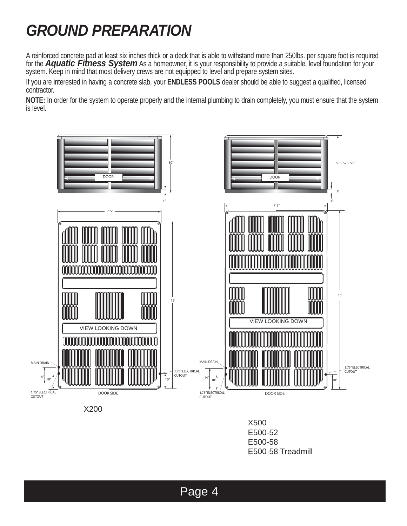## *GROUND PREPARATION*

A reinforced concrete pad at least six inches thick or a deck that is able to withstand more than 250lbs. per square foot is required for the *Aquatic Fitness System* As a homeowner, it is your responsibility to provide a suitable, level foundation for your system. Keep in mind that most delivery crews are not equipped to level and prepare system sites.

If you are interested in having a concrete slab, your **ENDLESS POOLS** dealer should be able to suggest a qualified, licensed contractor.

**NOTE:** In order for the system to operate properly and the internal plumbing to drain completely, you must ensure that the system is level.



X500 E500-52 E500-58 E500-58 Treadmill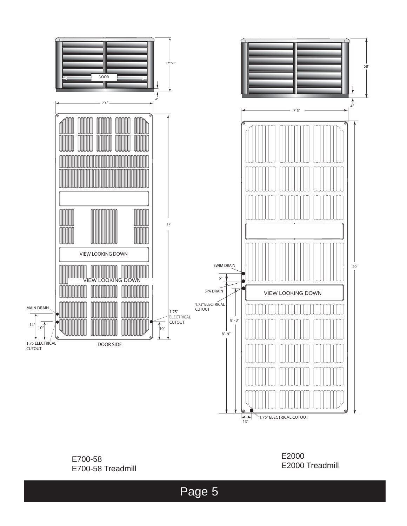

Page 5

1.75" ELECTRICAL CUTOUT  $\left| \leftrightarrow \atop{\overline{13''}} \right|$ 

E700-58 E700-58 Treadmill

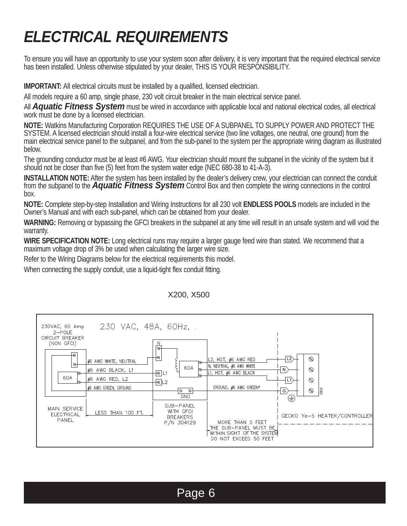## *ELECTRICAL REQUIREMENTS*

To ensure you will have an opportunity to use your system soon after delivery, it is very important that the required electrical service has been installed. Unless otherwise stipulated by your dealer, THIS IS YOUR RESPONSIBILITY.

**IMPORTANT:** All electrical circuits must be installed by a qualified, licensed electrician.

All models require a 60 amp, single phase, 230 volt circuit breaker in the main electrical service panel.

All *Aquatic Fitness System* must be wired in accordance with applicable local and national electrical codes, all electrical work must be done by a licensed electrician.

**NOTE:** Watkins Manufacturing Corporation REQUIRES THE USE OF A SUBPANEL TO SUPPLY POWER AND PROTECT THE SYSTEM. A licensed electrician should install a four-wire electrical service (two line voltages, one neutral, one ground) from the main electrical service panel to the subpanel, and from the sub-panel to the system per the appropriate wiring diagram as illustrated below.

The grounding conductor must be at least #6 AWG. Your electrician should mount the subpanel in the vicinity of the system but it should not be closer than five (5) feet from the system water edge (NEC 680-38 to 41-A-3).

**INSTALLATION NOTE:** After the system has been installed by the dealer's delivery crew, your electrician can connect the conduit from the subpanel to the *Aquatic Fitness System* Control Box and then complete the wiring connections in the control box.

**NOTE:** Complete step-by-step Installation and Wiring Instructions for all 230 volt **ENDLESS POOLS** models are included in the Owner's Manual and with each sub-panel, which can be obtained from your dealer.

**WARNING:** Removing or bypassing the GFCI breakers in the subpanel at any time will result in an unsafe system and will void the warranty.

**WIRE SPECIFICATION NOTE:** Long electrical runs may require a larger gauge feed wire than stated. We recommend that a maximum voltage drop of 3% be used when calculating the larger wire size.

Refer to the Wiring Diagrams below for the electrical requirements this model.

When connecting the supply conduit, use a liquid-tight flex conduit fitting.



#### X200, X500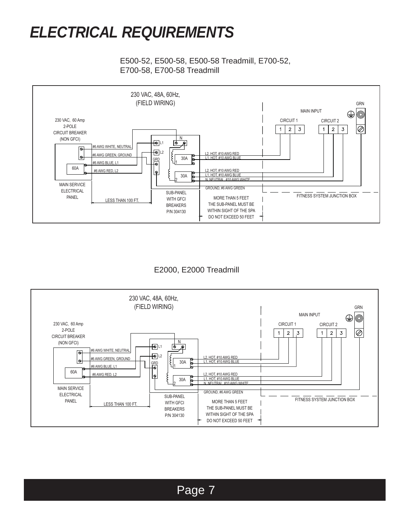#### *ELECTRICAL REQUIREMENTS*

E500-52, E500-58, E500-58 Treadmill, E700-52, E700-58, E700-58 Treadmill



E2000, E2000 Treadmill

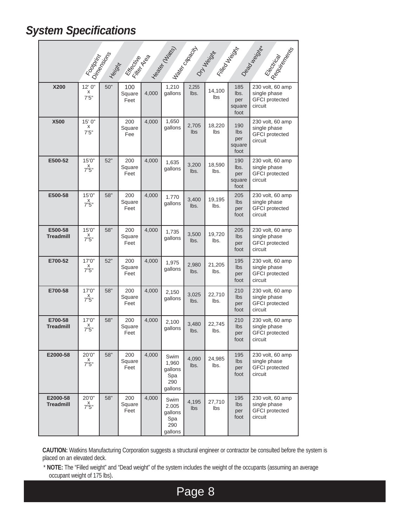#### *System Specifications*

|                              |                               | Foodbrink |                       |       |                                                   |               | Entrepreneur Maries Back of Maries Ave. |                                            | Dagon Milki<br>- I Reading a Little                                  |
|------------------------------|-------------------------------|-----------|-----------------------|-------|---------------------------------------------------|---------------|-----------------------------------------|--------------------------------------------|----------------------------------------------------------------------|
| X200                         | 12'0''<br>х<br>7'5''          | 50"       | 100<br>Square<br>Feet | 4,000 | 1,210<br>gallons                                  | 2,255<br>lbs. | 14,100<br>lbs                           | 185<br>lbs.<br>per<br>square<br>foot       | 230 volt, 60 amp<br>single phase<br><b>GFCI</b> protected<br>circuit |
| <b>X500</b>                  | 15' 0"<br>X<br>7'5''          |           | 200<br>Square<br>Fee  | 4,000 | 1,650<br>gallons                                  | 2,705<br>lbs  | 18,220<br>lbs                           | 190<br><b>lbs</b><br>per<br>square<br>foot | 230 volt, 60 amp<br>single phase<br><b>GFCI</b> protected<br>circuit |
| E500-52                      | 15'0"<br>$X \atop 7"5"$       | 52"       | 200<br>Square<br>Feet | 4,000 | 1,635<br>gallons                                  | 3,200<br>lbs. | 18,590<br>lbs.                          | 190<br>lbs.<br>per<br>square<br>foot       | 230 volt, 60 amp<br>single phase<br><b>GFCI</b> protected<br>circuit |
| E500-58                      | 15'0"<br>$X \atop 7"5"$       | 58"       | 200<br>Square<br>Feet | 4,000 | 1.770<br>gallons                                  | 3,400<br>lbs. | 19,195<br>lbs.                          | 205<br><b>lbs</b><br>per<br>foot           | 230 volt, 60 amp<br>single phase<br><b>GFCI</b> protected<br>circuit |
| E500-58<br><b>Treadmill</b>  | 15'0''<br>x<br>7"5"           | 58"       | 200<br>Square<br>Feet | 4,000 | 1,735<br>gallons                                  | 3,500<br>Ibs. | 19,720<br>lbs.                          | 205<br><b>lbs</b><br>per<br>foot           | 230 volt, 60 amp<br>single phase<br><b>GFCI</b> protected<br>circuit |
| E700-52                      | 17'0''<br>$X \atop 7"5"$      | 52"       | 200<br>Square<br>Feet | 4,000 | 1,975<br>gallons                                  | 2,980<br>lbs. | 21,205<br>lbs.                          | 195<br><b>lbs</b><br>per<br>foot           | 230 volt, 60 amp<br>single phase<br><b>GFCI</b> protected<br>circuit |
| E700-58                      | 17'0"<br>$X \atop 7"5"$       | 58"       | 200<br>Square<br>Feet | 4,000 | 2,150<br>gallons                                  | 3,025<br>lbs. | 22,710<br>lbs.                          | 210<br><b>lbs</b><br>per<br>foot           | 230 volt, 60 amp<br>single phase<br><b>GFCI</b> protected<br>circuit |
| E700-58<br><b>Treadmill</b>  | 17'0''<br>$X \atop 7"5"$      | 58"       | 200<br>Square<br>Feet | 4,000 | 2,100<br>gallons                                  | 3.480<br>lbs. | 22,745<br>lbs.                          | 210<br><b>lbs</b><br>per<br>foot           | 230 volt, 60 amp<br>single phase<br><b>GFCI</b> protected<br>circuit |
| E2000-58                     | 20'0"<br>$X \atop 7"5"$       | 58"       | 200<br>Square<br>Feet | 4,000 | Swim<br>1,960<br>gallons<br>Spa<br>290<br>gallons | 4,090<br>lbs. | 24,985<br>lbs.                          | 195<br>$\mathsf{lbs}$<br>per<br>foot       | 230 volt, 60 amp<br>single phase<br><b>GFCI</b> protected<br>circuit |
| E2000-58<br><b>Treadmill</b> | 20'0"<br>$X^{\times}$<br>7"5" | 58"       | 200<br>Square<br>Feet | 4,000 | Swim<br>2.005<br>gallons<br>Spa<br>290<br>gallons | 4,195<br>Ibs  | 27,710<br>Ibs                           | 195<br>Ibs<br>per<br>foot                  | 230 volt, 60 amp<br>single phase<br><b>GFCI</b> protected<br>circuit |

**CAUTION:** Watkins Manufacturing Corporation suggests a structural engineer or contractor be consulted before the system is placed on an elevated deck.

\* **NOTE:** The "Filled weight" and "Dead weight" of the system includes the weight of the occupants (assuming an average occupant weight of 175 lbs).

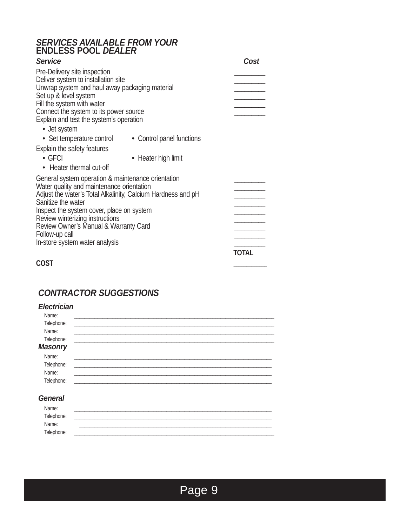#### *SERVICES AVAILABLE FROM YOUR*  **ENDLESS POOL** *DEALER*

| <b>Service</b>                                               |                           | Cost  |
|--------------------------------------------------------------|---------------------------|-------|
| Pre-Delivery site inspection                                 |                           |       |
| Deliver system to installation site                          |                           |       |
| Unwrap system and haul away packaging material               |                           |       |
| Set up & level system                                        |                           |       |
| Fill the system with water                                   |                           |       |
| Connect the system to its power source                       |                           |       |
| Explain and test the system's operation                      |                           |       |
| • Jet system                                                 |                           |       |
| • Set temperature control                                    | • Control panel functions |       |
| Explain the safety features                                  |                           |       |
| $\bullet$ GFCI                                               | • Heater high limit       |       |
| • Heater thermal cut-off                                     |                           |       |
| General system operation & maintenance orientation           |                           |       |
| Water quality and maintenance orientation                    |                           |       |
| Adjust the water's Total Alkalinity, Calcium Hardness and pH |                           |       |
| Sanitize the water                                           |                           |       |
| Inspect the system cover, place on system                    |                           |       |
| Review winterizing instructions                              |                           |       |
| Review Owner's Manual & Warranty Card                        |                           |       |
| Follow-up call                                               |                           |       |
| In-store system water analysis                               |                           |       |
|                                                              |                           | TOTAL |
| COST                                                         |                           |       |
|                                                              |                           |       |

#### *CONTRACTOR SUGGESTIONS*

| <b>Electrician</b> |  |  |  |
|--------------------|--|--|--|
| Name:              |  |  |  |
| Telephone:         |  |  |  |
| Name:              |  |  |  |
| Telephone:         |  |  |  |
| <b>Masonry</b>     |  |  |  |
| Name:              |  |  |  |
| Telephone:         |  |  |  |
| Name:              |  |  |  |
| Telephone:         |  |  |  |
|                    |  |  |  |
| <b>General</b>     |  |  |  |
| Name:              |  |  |  |

| ivame.     |  |
|------------|--|
| Telephone: |  |
| Name:      |  |
| Telephone: |  |
|            |  |